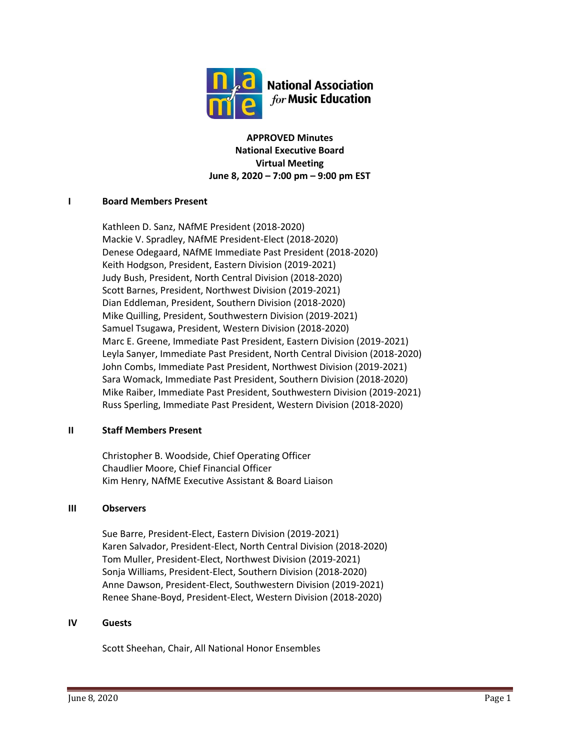

**APPROVED Minutes National Executive Board Virtual Meeting June 8, 2020 – 7:00 pm – 9:00 pm EST**

# **I Board Members Present**

Kathleen D. Sanz, NAfME President (2018-2020) Mackie V. Spradley, NAfME President-Elect (2018-2020) Denese Odegaard, NAfME Immediate Past President (2018-2020) Keith Hodgson, President, Eastern Division (2019-2021) Judy Bush, President, North Central Division (2018-2020) Scott Barnes, President, Northwest Division (2019-2021) Dian Eddleman, President, Southern Division (2018-2020) Mike Quilling, President, Southwestern Division (2019-2021) Samuel Tsugawa, President, Western Division (2018-2020) Marc E. Greene, Immediate Past President, Eastern Division (2019-2021) Leyla Sanyer, Immediate Past President, North Central Division (2018-2020) John Combs, Immediate Past President, Northwest Division (2019-2021) Sara Womack, Immediate Past President, Southern Division (2018-2020) Mike Raiber, Immediate Past President, Southwestern Division (2019-2021) Russ Sperling, Immediate Past President, Western Division (2018-2020)

# **II Staff Members Present**

Christopher B. Woodside, Chief Operating Officer Chaudlier Moore, Chief Financial Officer Kim Henry, NAfME Executive Assistant & Board Liaison

# **III Observers**

Sue Barre, President-Elect, Eastern Division (2019-2021) Karen Salvador, President-Elect, North Central Division (2018-2020) Tom Muller, President-Elect, Northwest Division (2019-2021) Sonja Williams, President-Elect, Southern Division (2018-2020) Anne Dawson, President-Elect, Southwestern Division (2019-2021) Renee Shane-Boyd, President-Elect, Western Division (2018-2020)

# **IV Guests**

Scott Sheehan, Chair, All National Honor Ensembles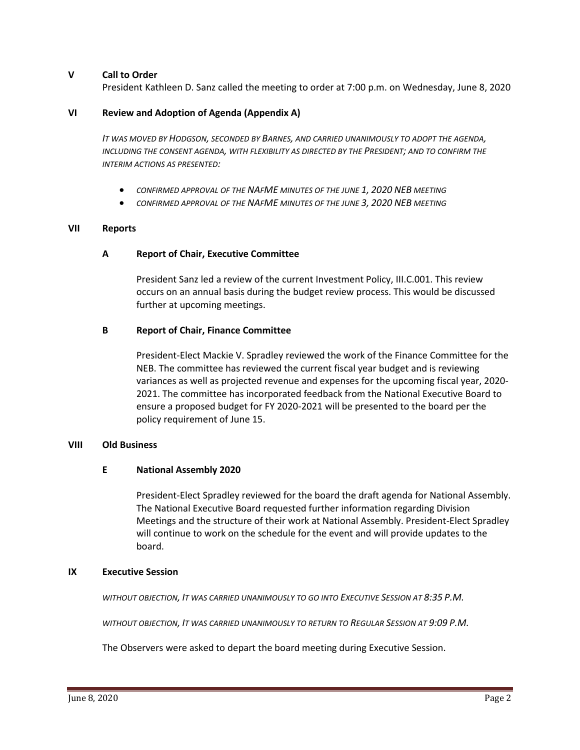# **V Call to Order**

President Kathleen D. Sanz called the meeting to order at 7:00 p.m. on Wednesday, June 8, 2020

#### **VI Review and Adoption of Agenda (Appendix A)**

*IT WAS MOVED BY HODGSON, SECONDED BY BARNES, AND CARRIED UNANIMOUSLY TO ADOPT THE AGENDA, INCLUDING THE CONSENT AGENDA, WITH FLEXIBILITY AS DIRECTED BY THE PRESIDENT; AND TO CONFIRM THE INTERIM ACTIONS AS PRESENTED:*

- *CONFIRMED APPROVAL OF THE NAFME MINUTES OF THE JUNE 1, 2020 NEB MEETING*
- *CONFIRMED APPROVAL OF THE NAFME MINUTES OF THE JUNE 3, 2020 NEB MEETING*

#### **VII Reports**

#### **A Report of Chair, Executive Committee**

President Sanz led a review of the current Investment Policy, III.C.001. This review occurs on an annual basis during the budget review process. This would be discussed further at upcoming meetings.

#### **B Report of Chair, Finance Committee**

President-Elect Mackie V. Spradley reviewed the work of the Finance Committee for the NEB. The committee has reviewed the current fiscal year budget and is reviewing variances as well as projected revenue and expenses for the upcoming fiscal year, 2020- 2021. The committee has incorporated feedback from the National Executive Board to ensure a proposed budget for FY 2020-2021 will be presented to the board per the policy requirement of June 15.

#### **VIII Old Business**

#### **E National Assembly 2020**

President-Elect Spradley reviewed for the board the draft agenda for National Assembly. The National Executive Board requested further information regarding Division Meetings and the structure of their work at National Assembly. President-Elect Spradley will continue to work on the schedule for the event and will provide updates to the board.

#### **IX Executive Session**

*WITHOUT OBJECTION, IT WAS CARRIED UNANIMOUSLY TO GO INTO EXECUTIVE SESSION AT 8:35 P.M.*

*WITHOUT OBJECTION, IT WAS CARRIED UNANIMOUSLY TO RETURN TO REGULAR SESSION AT 9:09 P.M.*

The Observers were asked to depart the board meeting during Executive Session.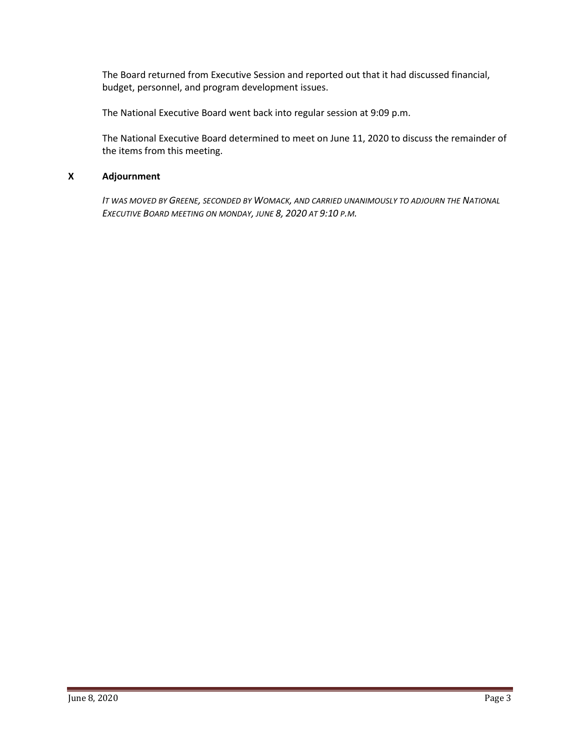The Board returned from Executive Session and reported out that it had discussed financial, budget, personnel, and program development issues.

The National Executive Board went back into regular session at 9:09 p.m.

The National Executive Board determined to meet on June 11, 2020 to discuss the remainder of the items from this meeting.

# **X Adjournment**

*IT WAS MOVED BY GREENE, SECONDED BY WOMACK, AND CARRIED UNANIMOUSLY TO ADJOURN THE NATIONAL EXECUTIVE BOARD MEETING ON MONDAY, JUNE 8, 2020 AT 9:10 P.M.*